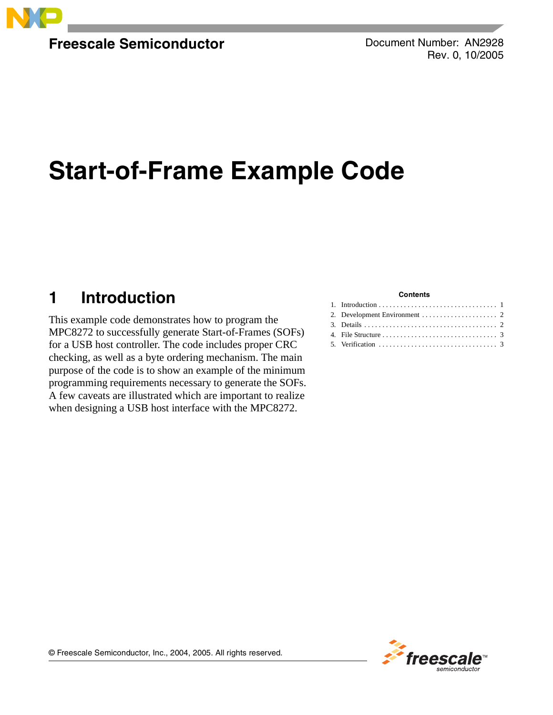

**Freescale Semiconductor**

Document Number: AN2928 Rev. 0, 10/2005

# **Start-of-Frame Example Code**

# <span id="page-0-0"></span>**1 Introduction**

This example code demonstrates how to program the MPC8272 to successfully generate Start-of-Frames (SOFs) for a USB host controller. The code includes proper CRC checking, as well as a byte ordering mechanism. The main purpose of the code is to show an example of the minimum programming requirements necessary to generate the SOFs. A few caveats are illustrated which are important to realize when designing a USB host interface with the MPC8272.

#### **Contents**

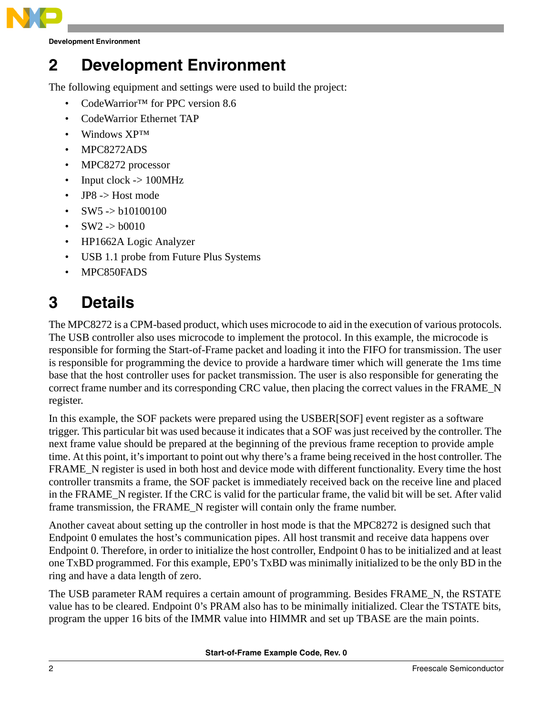

**Development Environment**

# <span id="page-1-0"></span>**2 Development Environment**

The following equipment and settings were used to build the project:

- CodeWarrior™ for PPC version 8.6
- CodeWarrior Ethernet TAP
- Windows XP™
- MPC8272ADS
- MPC8272 processor
- Input clock  $\rightarrow$  100MHz
- $JP8$  -> Host mode
- $SW5 \rightarrow b10100100$
- $SW2 \rightarrow b0010$
- HP1662A Logic Analyzer
- USB 1.1 probe from Future Plus Systems
- MPC850FADS

# <span id="page-1-1"></span>**3 Details**

The MPC8272 is a CPM-based product, which uses microcode to aid in the execution of various protocols. The USB controller also uses microcode to implement the protocol. In this example, the microcode is responsible for forming the Start-of-Frame packet and loading it into the FIFO for transmission. The user is responsible for programming the device to provide a hardware timer which will generate the 1ms time base that the host controller uses for packet transmission. The user is also responsible for generating the correct frame number and its corresponding CRC value, then placing the correct values in the FRAME\_N register.

In this example, the SOF packets were prepared using the USBER[SOF] event register as a software trigger. This particular bit was used because it indicates that a SOF was just received by the controller. The next frame value should be prepared at the beginning of the previous frame reception to provide ample time. At this point, it's important to point out why there's a frame being received in the host controller. The FRAME N register is used in both host and device mode with different functionality. Every time the host controller transmits a frame, the SOF packet is immediately received back on the receive line and placed in the FRAME\_N register. If the CRC is valid for the particular frame, the valid bit will be set. After valid frame transmission, the FRAME\_N register will contain only the frame number.

Another caveat about setting up the controller in host mode is that the MPC8272 is designed such that Endpoint 0 emulates the host's communication pipes. All host transmit and receive data happens over Endpoint 0. Therefore, in order to initialize the host controller, Endpoint 0 has to be initialized and at least one TxBD programmed. For this example, EP0's TxBD was minimally initialized to be the only BD in the ring and have a data length of zero.

The USB parameter RAM requires a certain amount of programming. Besides FRAME\_N, the RSTATE value has to be cleared. Endpoint 0's PRAM also has to be minimally initialized. Clear the TSTATE bits, program the upper 16 bits of the IMMR value into HIMMR and set up TBASE are the main points.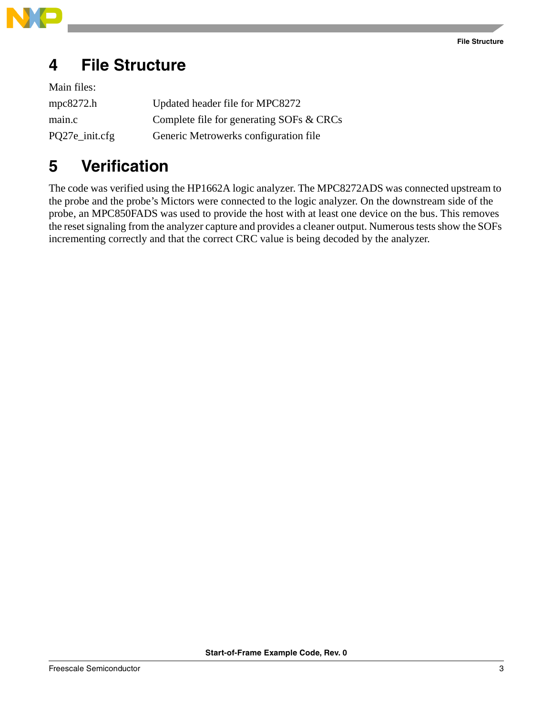

# <span id="page-2-0"></span>**4 File Structure**

| Main files:    |                                          |
|----------------|------------------------------------------|
| mpc $8272.h$   | Updated header file for MPC8272          |
| main.c         | Complete file for generating SOFs & CRCs |
| PQ27e_init.cfg | Generic Metrowerks configuration file    |

### <span id="page-2-1"></span>**5 Verification**

The code was verified using the HP1662A logic analyzer. The MPC8272ADS was connected upstream to the probe and the probe's Mictors were connected to the logic analyzer. On the downstream side of the probe, an MPC850FADS was used to provide the host with at least one device on the bus. This removes the reset signaling from the analyzer capture and provides a cleaner output. Numerous tests show the SOFs incrementing correctly and that the correct CRC value is being decoded by the analyzer.